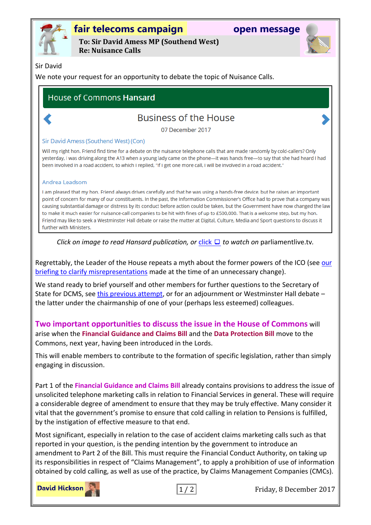

# **fair telecoms campaign open message**

**To: Sir David Amess MP (Southend West) Re: Nuisance Calls**



### Sir David

We note your request for an opportunity to debate the topic of Nuisance Calls.

## **House of Commons Hansard**

## **Business of the House**

07 December 2017

### Sir David Amess (Southend West) (Con)

Will my right hon. Friend find time for a debate on the nuisance telephone calls that are made randomly by cold-callers? Only yesterday, I was driving along the A13 when a young lady came on the phone-it was hands free-to say that she had heard I had been involved in a road accident, to which I replied, "If I get one more call, I will be involved in a road accident."

#### Andrea Leadsom

I am pleased that my hon. Friend always drives carefully and that he was using a hands-free device, but he raises an important point of concern for many of our constituents. In the past, the Information Commissioner's Office had to prove that a company was causing substantial damage or distress by its conduct before action could be taken, but the Government have now changed the law to make it much easier for nuisance-call companies to be hit with fines of up to £500,000. That is a welcome step, but my hon. Friend may like to seek a Westminster Hall debate or raise the matter at Digital, Culture, Media and Sport questions to discuss it further with Ministers.

*Click on image to read Hansard publication, or* [click](http://parliamentlive.tv/event/index/654bf6fe-3ede-48ac-8419-dc0f8981b1b5?in=11:19:40&out=11:20:48)  *to watch on* parliamentlive.tv*.*

Regrettably, the Leader of the House repeats a myth about the former powers of the ICO (see [our](http://www.fairtelecoms.org.uk/uploads/1/1/4/5/11456053/nc_clarification.pdf)  [briefing to clarify misrepresentations](http://www.fairtelecoms.org.uk/uploads/1/1/4/5/11456053/nc_clarification.pdf) made at the time of an unnecessary change).

We stand ready to brief yourself and other members for further questions to the Secretary of State for DCMS, see [this previous attempt,](http://www.fairtelecoms.org.uk/tv.html?cDE0nf2e238) or for an adjournment or Westminster Hall debate – the latter under the chairmanship of one of your (perhaps less esteemed) colleagues.

**Two important opportunities to discuss the issue in the House of Commons** will arise when the **Financial Guidance and Claims Bill** and the **Data Protection Bill** move to the Commons, next year, having been introduced in the Lords.

This will enable members to contribute to the formation of specific legislation, rather than simply engaging in discussion.

Part 1 of the **Financial Guidance and Claims Bill** already contains provisions to address the issue of unsolicited telephone marketing calls in relation to Financial Services in general. These will require a considerable degree of amendment to ensure that they may be truly effective. Many consider it vital that the government's promise to ensure that cold calling in relation to Pensions is fulfilled, by the instigation of effective measure to that end.

Most significant, especially in relation to the case of accident claims marketing calls such as that reported in your question, is the pending intention by the government to introduce an amendment to Part 2 of the Bill. This must require the Financial Conduct Authority, on taking up its responsibilities in respect of "Claims Management", to apply a prohibition of use of information obtained by cold calling, as well as use of the practice, by Claims Management Companies (CMCs).



1 / 2 Friday, 8 December 2017